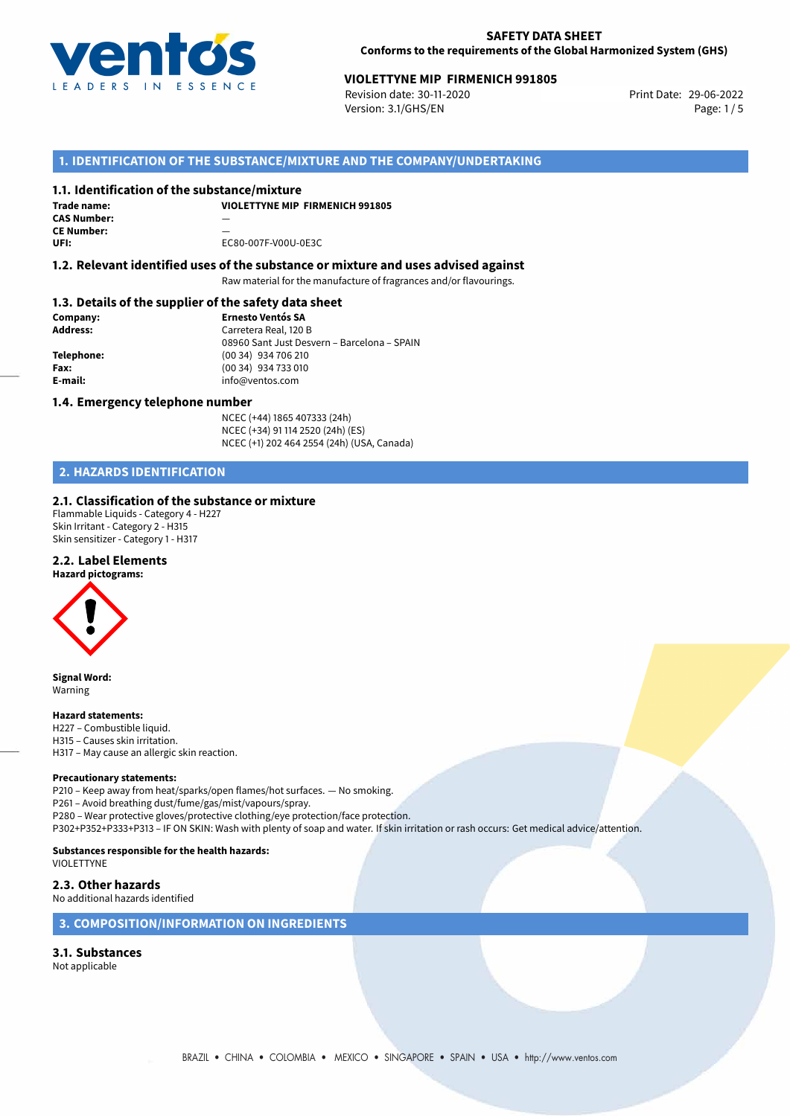

#### **SAFETY DATA SHEET Conforms to the requirements of the Global Harmonized System (GHS)**

# **VIOLETTYNE MIP FIRMENICH 991805**<br>Revision date: 30-11-2020<br>Print Date: 29-06-2022

Revision date: 30-11-2020 Version: 3.1/GHS/EN Page: 1 / 5

### **1. IDENTIFICATION OF THE SUBSTANCE/MIXTURE AND THE COMPANY/UNDERTAKING**

#### **1.1. Identification of the substance/mixture**

| Trade name: | <b>VIOLETTYNE MIP FIRMENICH 991805</b> |
|-------------|----------------------------------------|
| CAS Number: |                                        |
| CE Number:  |                                        |
| UFI:        | EC80-007F-V00U-0E3C                    |

#### **1.2. Relevant identified uses of the substance or mixture and uses advised against**

Raw material for the manufacture of fragrances and/or flavourings.

# **1.3. Details of the supplier of the safety data sheet**

| Company:        | <b>Ernesto Ventós SA</b>                    |  |
|-----------------|---------------------------------------------|--|
| <b>Address:</b> | Carretera Real, 120 B                       |  |
|                 | 08960 Sant Just Desvern - Barcelona - SPAIN |  |
| Telephone:      | (00 34) 934 706 210                         |  |
| Fax:            | (00 34) 934 733 010                         |  |
| E-mail:         | info@ventos.com                             |  |
|                 |                                             |  |

#### **1.4. Emergency telephone number**

NCEC (+44) 1865 407333 (24h) NCEC (+34) 91 114 2520 (24h) (ES) NCEC (+1) 202 464 2554 (24h) (USA, Canada)

# **2. HAZARDS IDENTIFICATION**

#### **2.1. Classification of the substance or mixture**

Flammable Liquids - Category 4 - H227 Skin Irritant - Category 2 - H315 Skin sensitizer - Category 1 - H317

#### **2.2. Label Elements**



**Signal Word:** Warning

#### **Hazard statements:**

H227 – Combustible liquid. H315 – Causes skin irritation. H317 – May cause an allergic skin reaction.

#### **Precautionary statements:**

P210 – Keep away from heat/sparks/open flames/hot surfaces. — No smoking. P261 – Avoid breathing dust/fume/gas/mist/vapours/spray. P280 – Wear protective gloves/protective clothing/eye protection/face protection. P302+P352+P333+P313 – IF ON SKIN: Wash with plenty of soap and water. If skin irritation or rash occurs: Get medical advice/attention.

#### **Substances responsible for the health hazards:** VIOLETTYNE

#### **2.3. Other hazards**

No additional hazards identified

### **3. COMPOSITION/INFORMATION ON INGREDIENTS**

# **3.1. Substances**

Not applicable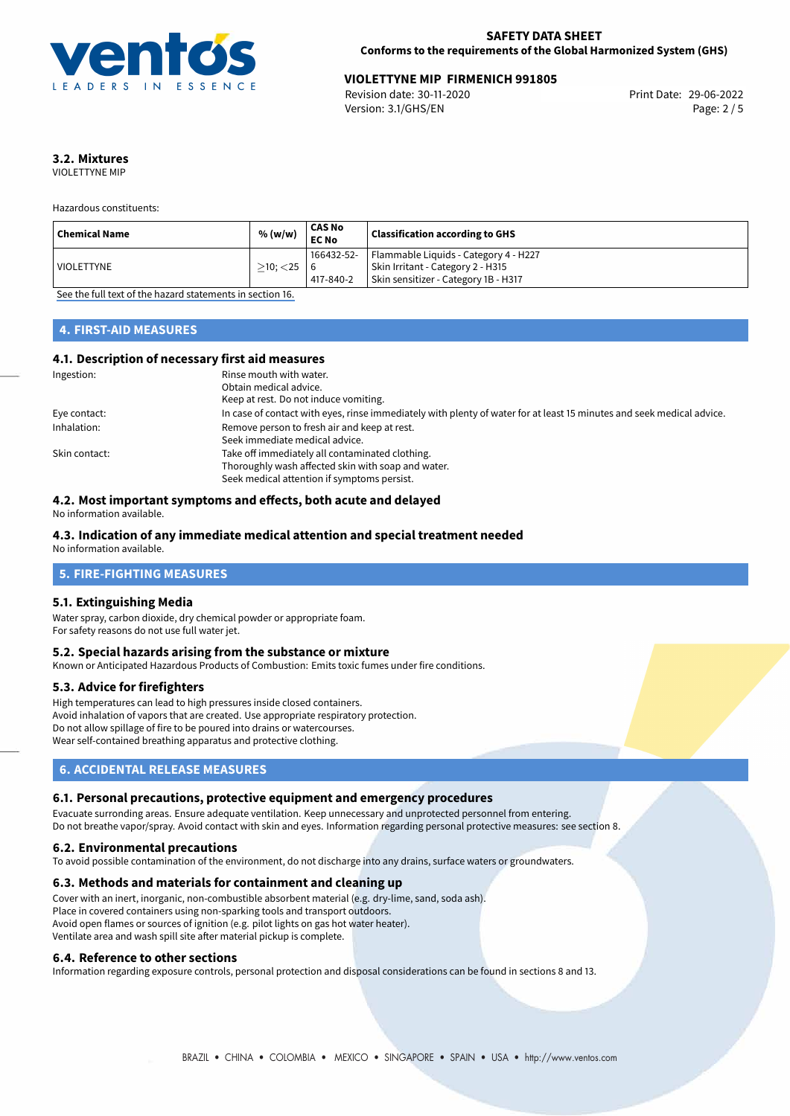

# **VIOLETTYNE MIP FIRMENICH 991805**<br>Revision date: 30-11-2020<br>Print Date: 29-06-2022

Revision date: 30-11-2020 Version: 3.1/GHS/EN Page: 2 / 5

# **3.2. Mixtures**

VIOLETTYNE MIP

Hazardous constituents:

| Chemical Name           | % (w/w)        | CAS No<br><b>EC No</b> | <b>Classification according to GHS</b>             |
|-------------------------|----------------|------------------------|----------------------------------------------------|
|                         |                |                        | 166432-52-   Flammable Liquids - Category 4 - H227 |
| <sup>I</sup> VIOLETTYNE | $\geq$ 10; <25 |                        | Skin Irritant - Category 2 - H315                  |
|                         |                | 417-840-2              | Skin sensitizer - Category 1B - H317               |

[See the full text of the hazard statements in section 16.](#page-4-0)

# **4. FIRST-AID MEASURES**

#### **4.1. Description of necessary first aid measures**

| Ingestion:    | Rinse mouth with water.                                                                                               |
|---------------|-----------------------------------------------------------------------------------------------------------------------|
|               | Obtain medical advice.                                                                                                |
|               | Keep at rest. Do not induce vomiting.                                                                                 |
| Eye contact:  | In case of contact with eyes, rinse immediately with plenty of water for at least 15 minutes and seek medical advice. |
| Inhalation:   | Remove person to fresh air and keep at rest.                                                                          |
|               | Seek immediate medical advice.                                                                                        |
| Skin contact: | Take off immediately all contaminated clothing.                                                                       |
|               | Thoroughly wash affected skin with soap and water.                                                                    |
|               | Seek medical attention if symptoms persist.                                                                           |

#### **4.2. Most important symptoms and effects, both acute and delayed**

No information available.

# **4.3. Indication of any immediate medical attention and special treatment needed**

No information available.

# **5. FIRE-FIGHTING MEASURES**

#### **5.1. Extinguishing Media**

Water spray, carbon dioxide, dry chemical powder or appropriate foam. For safety reasons do not use full water jet.

#### **5.2. Special hazards arising from the substance or mixture**

Known or Anticipated Hazardous Products of Combustion: Emits toxic fumes under fire conditions.

#### **5.3. Advice for firefighters**

High temperatures can lead to high pressures inside closed containers. Avoid inhalation of vapors that are created. Use appropriate respiratory protection. Do not allow spillage of fire to be poured into drains or watercourses. Wear self-contained breathing apparatus and protective clothing.

# **6. ACCIDENTAL RELEASE MEASURES**

#### **6.1. Personal precautions, protective equipment and emergency procedures**

Evacuate surronding areas. Ensure adequate ventilation. Keep unnecessary and unprotected personnel from entering. Do not breathe vapor/spray. Avoid contact with skin and eyes. Information regarding personal protective measures: see section 8.

#### **6.2. Environmental precautions**

To avoid possible contamination of the environment, do not discharge into any drains, surface waters or groundwaters.

#### **6.3. Methods and materials for containment and cleaning up**

Cover with an inert, inorganic, non-combustible absorbent material (e.g. dry-lime, sand, soda ash). Place in covered containers using non-sparking tools and transport outdoors. Avoid open flames or sources of ignition (e.g. pilot lights on gas hot water heater). Ventilate area and wash spill site after material pickup is complete.

#### **6.4. Reference to other sections**

Information regarding exposure controls, personal protection and disposal considerations can be found in sections 8 and 13.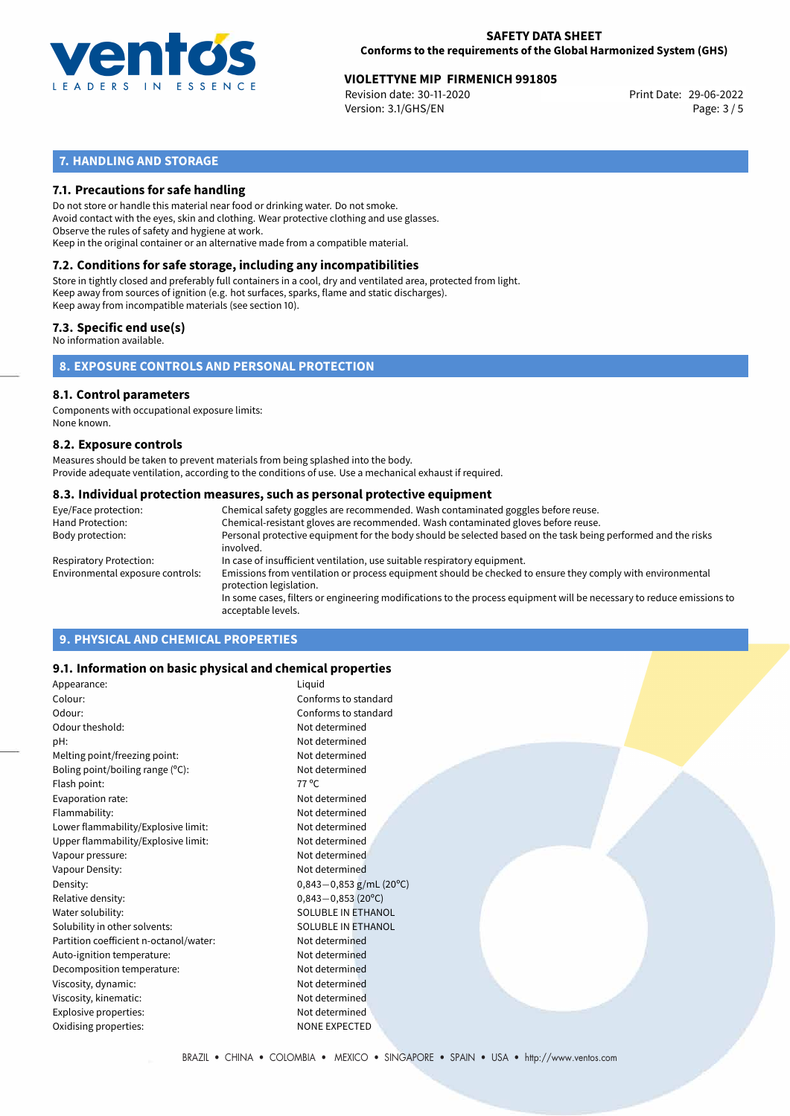

#### **SAFETY DATA SHEET Conforms to the requirements of the Global Harmonized System (GHS)**

# 29-06-2022 **VIOLETTYNE MIP FIRMENICH 991805**

Revision date: 30-11-2020 Version: 3.1/GHS/EN Page: 3 / 5

# **7. HANDLING AND STORAGE**

#### **7.1. Precautions for safe handling**

Do not store or handle this material near food or drinking water. Do not smoke. Avoid contact with the eyes, skin and clothing. Wear protective clothing and use glasses. Observe the rules of safety and hygiene at work. Keep in the original container or an alternative made from a compatible material.

# **7.2. Conditions for safe storage, including any incompatibilities**

Store in tightly closed and preferably full containers in a cool, dry and ventilated area, protected from light. Keep away from sources of ignition (e.g. hot surfaces, sparks, flame and static discharges). Keep away from incompatible materials (see section 10).

#### **7.3. Specific end use(s)**

No information available.

**8. EXPOSURE CONTROLS AND PERSONAL PROTECTION**

#### **8.1. Control parameters**

Components with occupational exposure limits: None known.

#### **8.2. Exposure controls**

Measures should be taken to prevent materials from being splashed into the body. Provide adequate ventilation, according to the conditions of use. Use a mechanical exhaust if required.

#### **8.3. Individual protection measures, such as personal protective equipment**

| Eye/Face protection:             | Chemical safety goggles are recommended. Wash contaminated goggles before reuse.                                                            |
|----------------------------------|---------------------------------------------------------------------------------------------------------------------------------------------|
| Hand Protection:                 | Chemical-resistant gloves are recommended. Wash contaminated gloves before reuse.                                                           |
| Body protection:                 | Personal protective equipment for the body should be selected based on the task being performed and the risks<br>involved.                  |
| Respiratory Protection:          | In case of insufficient ventilation, use suitable respiratory equipment.                                                                    |
| Environmental exposure controls: | Emissions from ventilation or process equipment should be checked to ensure they comply with environmental<br>protection legislation.       |
|                                  | In some cases, filters or engineering modifications to the process equipment will be necessary to reduce emissions to<br>acceptable levels. |
|                                  |                                                                                                                                             |

# **9. PHYSICAL AND CHEMICAL PROPERTIES**

#### **9.1. Information on basic physical and chemical properties**

| Appearance:                            | Liquid                    |
|----------------------------------------|---------------------------|
| Colour:                                | Conforms to standard      |
| Odour:                                 | Conforms to standard      |
| Odour theshold:                        | Not determined            |
| pH:                                    | Not determined            |
| Melting point/freezing point:          | Not determined            |
| Boling point/boiling range (°C):       | Not determined            |
| Flash point:                           | 77 °C                     |
| Evaporation rate:                      | Not determined            |
| Flammability:                          | Not determined            |
| Lower flammability/Explosive limit:    | Not determined            |
| Upper flammability/Explosive limit:    | Not determined            |
| Vapour pressure:                       | Not determined            |
| Vapour Density:                        | Not determined            |
| Density:                               | $0,843-0,853$ g/mL (20°C) |
| Relative density:                      | $0,843 - 0,853$ (20°C)    |
| Water solubility:                      | SOLUBLE IN ETHANOL        |
| Solubility in other solvents:          | SOLUBLE IN ETHANOL        |
| Partition coefficient n-octanol/water: | Not determined            |
| Auto-ignition temperature:             | Not determined            |
| Decomposition temperature:             | Not determined            |
| Viscosity, dynamic:                    | Not determined            |
| Viscosity, kinematic:                  | Not determined            |
| Explosive properties:                  | Not determined            |
| Oxidising properties:                  | <b>NONE EXPECTED</b>      |
|                                        |                           |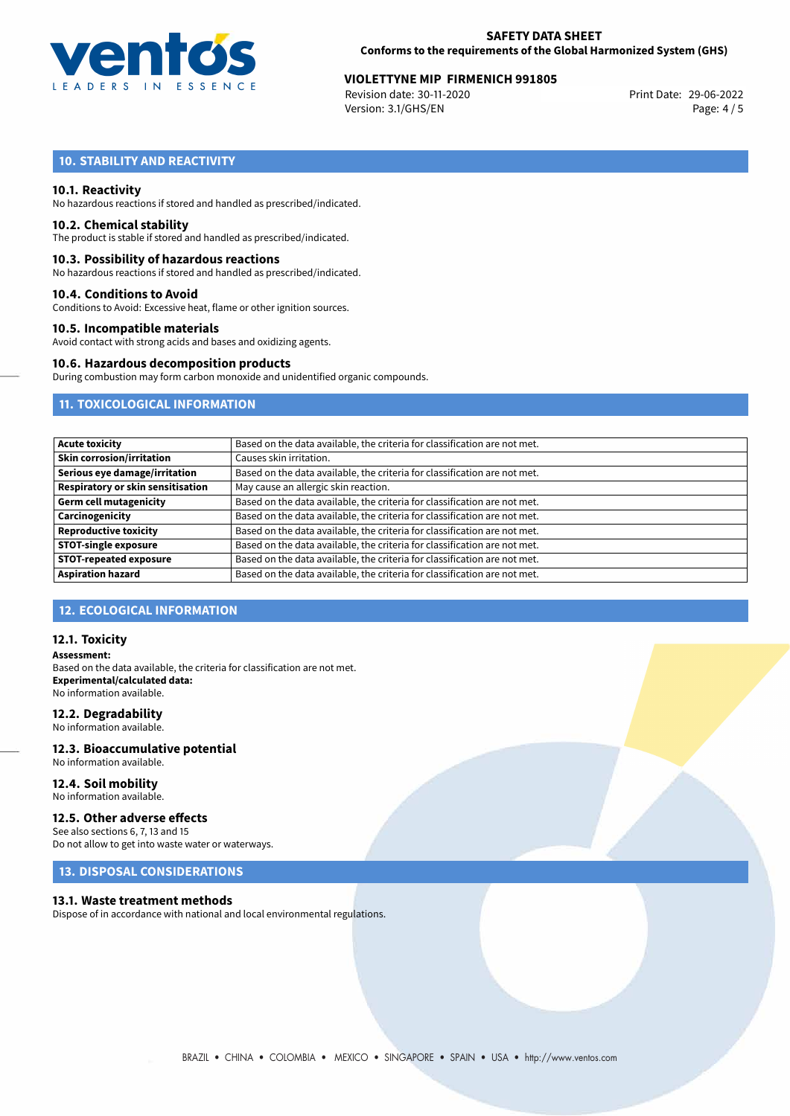

#### **SAFETY DATA SHEET Conforms to the requirements of the Global Harmonized System (GHS)**

# **VIOLETTYNE MIP FIRMENICH 991805**<br>Revision date: 30-11-2020<br>Print Date: 29-06-2022

Revision date: 30-11-2020 Version: 3.1/GHS/EN Page: 4 / 5

# **10. STABILITY AND REACTIVITY**

#### **10.1. Reactivity**

No hazardous reactions if stored and handled as prescribed/indicated.

#### **10.2. Chemical stability**

The product is stable if stored and handled as prescribed/indicated.

#### **10.3. Possibility of hazardous reactions**

No hazardous reactions if stored and handled as prescribed/indicated.

#### **10.4. Conditions to Avoid**

Conditions to Avoid: Excessive heat, flame or other ignition sources.

#### **10.5. Incompatible materials**

Avoid contact with strong acids and bases and oxidizing agents.

#### **10.6. Hazardous decomposition products**

During combustion may form carbon monoxide and unidentified organic compounds.

# **11. TOXICOLOGICAL INFORMATION**

| <b>Acute toxicity</b>             | Based on the data available, the criteria for classification are not met. |
|-----------------------------------|---------------------------------------------------------------------------|
| <b>Skin corrosion/irritation</b>  | Causes skin irritation.                                                   |
| Serious eye damage/irritation     | Based on the data available, the criteria for classification are not met. |
| Respiratory or skin sensitisation | May cause an allergic skin reaction.                                      |
| <b>Germ cell mutagenicity</b>     | Based on the data available, the criteria for classification are not met. |
| Carcinogenicity                   | Based on the data available, the criteria for classification are not met. |
| <b>Reproductive toxicity</b>      | Based on the data available, the criteria for classification are not met. |
| <b>STOT-single exposure</b>       | Based on the data available, the criteria for classification are not met. |
| <b>STOT-repeated exposure</b>     | Based on the data available, the criteria for classification are not met. |
| <b>Aspiration hazard</b>          | Based on the data available, the criteria for classification are not met. |

# **12. ECOLOGICAL INFORMATION**

#### **12.1. Toxicity**

**Assessment:** Based on the data available, the criteria for classification are not met. **Experimental/calculated data:** No information available.

#### **12.2. Degradability**

No information available.

#### **12.3. Bioaccumulative potential** No information available.

**12.4. Soil mobility**

No information available.

# **12.5. Other adverse effects**

See also sections 6, 7, 13 and 15 Do not allow to get into waste water or waterways.

### **13. DISPOSAL CONSIDERATIONS**

#### **13.1. Waste treatment methods**

Dispose of in accordance with national and local environmental regulations.